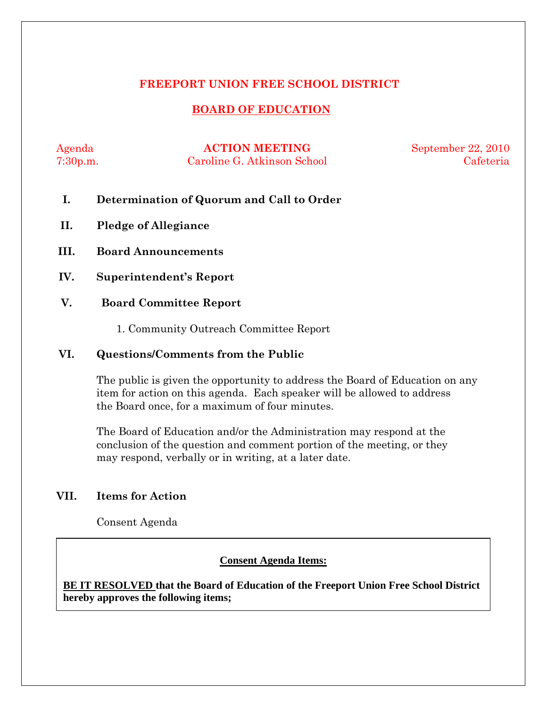### **FREEPORT UNION FREE SCHOOL DISTRICT**

## **BOARD OF EDUCATION**

Agenda **ACTION MEETING** September 22, 2010 7:30p.m. Caroline G. Atkinson School Cafeteria

- **I. Determination of Quorum and Call to Order**
- **II. Pledge of Allegiance**
- **III. Board Announcements**
- **IV. Superintendent's Report**
- **V. Board Committee Report** 
	- 1. Community Outreach Committee Report

#### **VI. Questions/Comments from the Public**

The public is given the opportunity to address the Board of Education on any item for action on this agenda. Each speaker will be allowed to address the Board once, for a maximum of four minutes.

The Board of Education and/or the Administration may respond at the conclusion of the question and comment portion of the meeting, or they may respond, verbally or in writing, at a later date.

#### **VII. Items for Action**

Consent Agenda

 **AA. Consent - Approve** 

#### **Consent Agenda Items:**

 *Acceptance of the Minutes*  $\mathbf{A}$ **BE IT RESOLVED that the Board of Education of the Freeport Union Free School District hereby approves the following items;**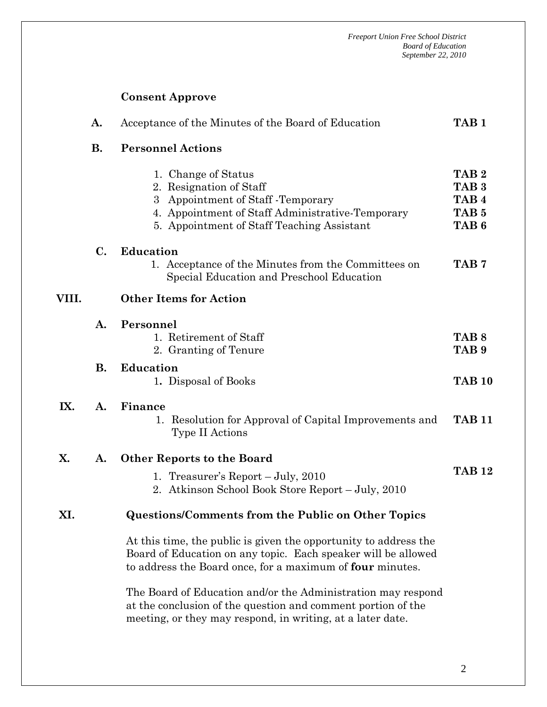# **Consent Approve**

|       | A.             | Acceptance of the Minutes of the Board of Education                                                                                                                                            | TAB <sub>1</sub>                                                                                 |
|-------|----------------|------------------------------------------------------------------------------------------------------------------------------------------------------------------------------------------------|--------------------------------------------------------------------------------------------------|
|       | <b>B.</b>      | <b>Personnel Actions</b>                                                                                                                                                                       |                                                                                                  |
|       |                | 1. Change of Status<br>2. Resignation of Staff<br>Appointment of Staff - Temporary<br>3<br>4. Appointment of Staff Administrative-Temporary<br>5. Appointment of Staff Teaching Assistant      | TAB <sub>2</sub><br>TAB <sub>3</sub><br>TAB <sub>4</sub><br>TAB <sub>5</sub><br>TAB <sub>6</sub> |
|       | $\mathbf{C}$ . | Education<br>1. Acceptance of the Minutes from the Committees on<br>Special Education and Preschool Education                                                                                  | TAB <sub>7</sub>                                                                                 |
| VIII. |                | <b>Other Items for Action</b>                                                                                                                                                                  |                                                                                                  |
|       | A.             | Personnel<br>1. Retirement of Staff<br>2. Granting of Tenure                                                                                                                                   | TAB <sub>8</sub><br>TAB <sub>9</sub>                                                             |
|       | В.             | <b>Education</b><br>1. Disposal of Books                                                                                                                                                       | <b>TAB 10</b>                                                                                    |
| IX.   | A.             | Finance<br>Resolution for Approval of Capital Improvements and<br>1.<br>Type II Actions                                                                                                        | <b>TAB 11</b>                                                                                    |
| X.    | A.             | <b>Other Reports to the Board</b>                                                                                                                                                              |                                                                                                  |
|       |                | 1. Treasurer's Report - July, 2010<br>2. Atkinson School Book Store Report – July, 2010                                                                                                        | <b>TAB 12</b>                                                                                    |
| XI.   |                | <b>Questions/Comments from the Public on Other Topics</b>                                                                                                                                      |                                                                                                  |
|       |                | At this time, the public is given the opportunity to address the<br>Board of Education on any topic. Each speaker will be allowed<br>to address the Board once, for a maximum of four minutes. |                                                                                                  |
|       |                | The Board of Education and/or the Administration may respond<br>at the conclusion of the question and comment portion of the<br>meeting, or they may respond, in writing, at a later date.     |                                                                                                  |